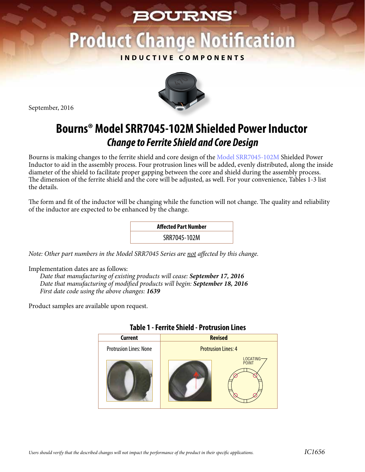## **BOURNS®**

# **Product Change Notification**

### **INDUCTIVE COMPONENTS**

September, 2016



### **Bourns® Model SRR7045-102M Shielded Power Inductor** *Change to Ferrite Shield and Core Design*

Bourns is making changes to the ferrite shield and core design of th[e Model SRR7045-102M Sh](http://www.bourns.com/docs/Product-Datasheets/SRR7045.pdf)ielded Power Inductor to aid in the assembly process. Four protrusion lines will be added, evenly distributed, along the inside diameter of the shield to facilitate proper gapping between the core and shield during the assembly process. The dimension of the ferrite shield and the core will be adjusted, as well. For your convenience, Tables 1-3 list the details.

The form and fit of the inductor will be changing while the function will not change. The quality and reliability of the inductor are expected to be enhanced by the change.



*Note: Other part numbers in the Model SRR7045 Series are not affected by this change.* 

Implementation dates are as follows:

*Date that manufacturing of existing products will cease: September 17, 2016 Date that manufacturing of modified products will begin: September 18, 2016 First date code using the above changes: 1639* 

Product samples are available upon request.

| IWNIL I<br>.<br>VU WJIVII LIIILJ |                            |  |  |  |  |  |
|----------------------------------|----------------------------|--|--|--|--|--|
| Current                          | <b>Revised</b>             |  |  |  |  |  |
| <b>Protrusion Lines: None</b>    | <b>Protrusion Lines: 4</b> |  |  |  |  |  |
|                                  | LOCATING-<br>POINT         |  |  |  |  |  |

#### **Table 1 - Ferrite Shield - Protrusion Lines**